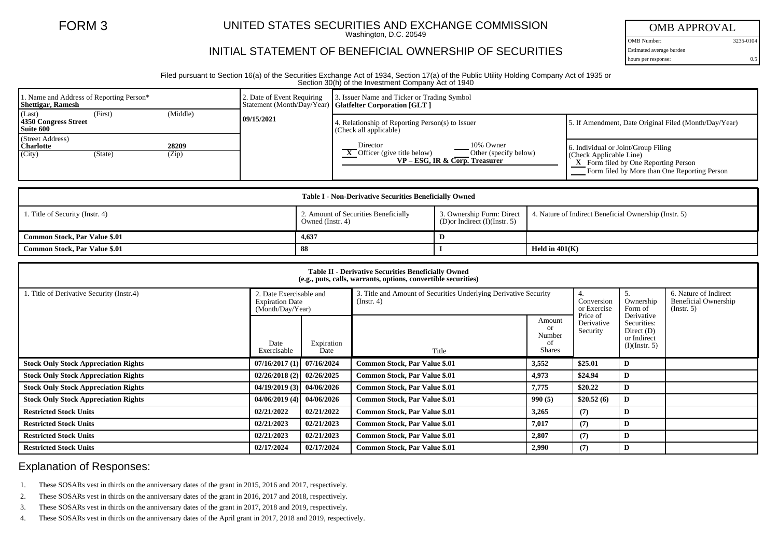## FORM 3 UNITED STATES SECURITIES AND EXCHANGE COMMISSION

Washington, D.C. 20549

## INITIAL STATEMENT OF BENEFICIAL OWNERSHIP OF SECURITIES

OMB APPROVAL

OMB Number: 3235-0104 Estimated average burden hours per response: 0.5

Filed pursuant to Section 16(a) of the Securities Exchange Act of 1934, Section 17(a) of the Public Utility Holding Company Act of 1935 or Section 30(h) of the Investment Company Act of 1940

| 1. Name and Address of Reporting Person*<br><b>Shettigar, Ramesh</b> |         |                | 2. Date of Event Requiring | 3. Issuer Name and Ticker or Trading Symbol<br>Statement (Month/Day/Year)   Glatfelter Corporation [GLT ]                        |                                                                                                                                                                       |  |  |
|----------------------------------------------------------------------|---------|----------------|----------------------------|----------------------------------------------------------------------------------------------------------------------------------|-----------------------------------------------------------------------------------------------------------------------------------------------------------------------|--|--|
| (Last)<br>4350 Congress Street<br>Suite 600                          | (First) | (Middle)       | 09/15/2021                 | Relationship of Reporting Person(s) to Issuer<br>(Check all applicable)                                                          | 5. If Amendment, Date Original Filed (Month/Day/Year)                                                                                                                 |  |  |
| (Street Address)<br><b>Charlotte</b><br>(City)                       | (State) | 28209<br>(Zip) |                            | Director<br>10% Owner<br>$\overline{X}$ Officer (give title below)<br>Other (specify below)<br>$VP - ESG$ , IR & Corp. Treasurer | 6. Individual or Joint/Group Filing<br>$\vert$ (Check Applicable Line)<br><b>X</b> Form filed by One Reporting Person<br>Form filed by More than One Reporting Person |  |  |

|                                 | Table I - Non-Derivative Securities Beneficially Owned   |                                |                                                                                 |  |
|---------------------------------|----------------------------------------------------------|--------------------------------|---------------------------------------------------------------------------------|--|
| 1. Title of Security (Instr. 4) | 2. Amount of Securities Beneficially<br>Owned (Instr. 4) | (D) or Indirect (I) (Instr. 5) | 3. Ownership Form: Direct 4. Nature of Indirect Beneficial Ownership (Instr. 5) |  |
| Common Stock, Par Value \$.01   | 4,637                                                    |                                |                                                                                 |  |
| Common Stock, Par Value \$.01   | -88                                                      |                                | Held in $401(K)$                                                                |  |

| <b>Table II - Derivative Securities Beneficially Owned</b><br>(e.g., puts, calls, warrants, options, convertible securities) |                                                                       |                    |                                                                                      |                                                            |                                    |                                                                           |                                                                   |  |  |  |  |
|------------------------------------------------------------------------------------------------------------------------------|-----------------------------------------------------------------------|--------------------|--------------------------------------------------------------------------------------|------------------------------------------------------------|------------------------------------|---------------------------------------------------------------------------|-------------------------------------------------------------------|--|--|--|--|
| 1. Title of Derivative Security (Instr.4)                                                                                    | 2. Date Exercisable and<br><b>Expiration Date</b><br>(Month/Day/Year) |                    | 3. Title and Amount of Securities Underlying Derivative Security<br>$($ Instr. 4 $)$ |                                                            | 4.<br>Conversion<br>or Exercise    | Ownership<br>Form of                                                      | 6. Nature of Indirect<br>Beneficial Ownership<br>$($ Instr. 5 $)$ |  |  |  |  |
|                                                                                                                              | Date<br>Exercisable                                                   | Expiration<br>Date | Title                                                                                | Amount<br><sub>or</sub><br>Number<br>- O1<br><b>Shares</b> | Price of<br>Derivative<br>Security | Derivative<br>Securities:<br>Direct $(D)$<br>or Indirect<br>(I)(Instr. 5) |                                                                   |  |  |  |  |
| <b>Stock Only Stock Appreciation Rights</b>                                                                                  | 07/16/2017(1)                                                         | 07/16/2024         | <b>Common Stock, Par Value \$.01</b>                                                 | 3,552                                                      | \$25.01                            | D                                                                         |                                                                   |  |  |  |  |
| <b>Stock Only Stock Appreciation Rights</b>                                                                                  | 02/26/2018(2)                                                         | 02/26/2025         | <b>Common Stock, Par Value \$.01</b>                                                 | 4,973                                                      | \$24.94                            | D                                                                         |                                                                   |  |  |  |  |
| <b>Stock Only Stock Appreciation Rights</b>                                                                                  | 04/19/2019(3)                                                         | 04/06/2026         | <b>Common Stock, Par Value \$.01</b>                                                 | 7,775                                                      | \$20.22                            | D                                                                         |                                                                   |  |  |  |  |
| <b>Stock Only Stock Appreciation Rights</b>                                                                                  | 04/06/2019(4)                                                         | 04/06/2026         | <b>Common Stock, Par Value \$.01</b>                                                 | 990(5)                                                     | \$20.52(6)                         | D                                                                         |                                                                   |  |  |  |  |
| <b>Restricted Stock Units</b>                                                                                                | 02/21/2022                                                            | 02/21/2022         | <b>Common Stock, Par Value \$.01</b>                                                 | 3,265                                                      | (7)                                | D                                                                         |                                                                   |  |  |  |  |
| <b>Restricted Stock Units</b>                                                                                                | 02/21/2023                                                            | 02/21/2023         | <b>Common Stock, Par Value \$.01</b>                                                 | 7,017                                                      | (7)                                | D                                                                         |                                                                   |  |  |  |  |
| <b>Restricted Stock Units</b>                                                                                                | 02/21/2023                                                            | 02/21/2023         | <b>Common Stock, Par Value \$.01</b>                                                 | 2,807                                                      | (7)                                | D                                                                         |                                                                   |  |  |  |  |
| <b>Restricted Stock Units</b>                                                                                                | 02/17/2024                                                            | 02/17/2024         | <b>Common Stock, Par Value \$.01</b>                                                 | 2.990                                                      | (7)                                | D                                                                         |                                                                   |  |  |  |  |

## Explanation of Responses:

- 1. These SOSARs vest in thirds on the anniversary dates of the grant in 2015, 2016 and 2017, respectively.
- 2. These SOSARs vest in thirds on the anniversary dates of the grant in 2016, 2017 and 2018, respectively.
- 3. These SOSARs vest in thirds on the anniversary dates of the grant in 2017, 2018 and 2019, respectively.
- 4. These SOSARs vest in thirds on the anniversary dates of the April grant in 2017, 2018 and 2019, respectively.